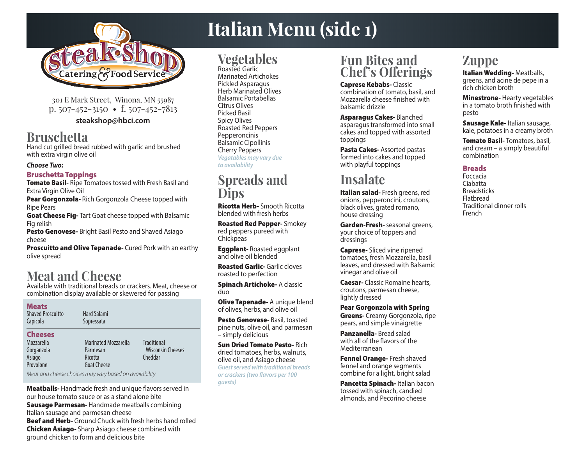

301 E Mark Street, Winona, MN 55987 p. 507-452-3150 • f. 507-452-7813 **steakshop@hbci.com**

### **Bruschetta**

Hand cut grilled bread rubbed with garlic and brushed with extra virgin olive oil

#### **Choose Two:**

#### Bruschetta Toppings

**Tomato Basil-** Ripe Tomatoes tossed with Fresh Basil and Extra Virgin Olive Oil

Pear Gorgonzola- Rich Gorgonzola Cheese topped with Ripe Pears

**Goat Cheese Fig-** Tart Goat cheese topped with Balsamic Fig relish

Pesto Genovese- Bright Basil Pesto and Shaved Asiago cheese

**Proscuitto and Olive Tepanade-** Cured Pork with an earthy olive spread

## **Meat and Cheese**

Available with traditional breads or crackers. Meat, cheese or combination display available or skewered for passing

#### Meats

Shaved Proscuitto Capicola

#### **Cheeses**

Mozzarella Gorganzola Asiago Provolone

Marinated Mozzarella Parmesan Ricotta Goat Cheese **Traditional**  Wisconsin Cheeses Cheddar

Meat and cheese choices may vary based on availability

Hard Salami Sopressata

**Meatballs-** Handmade fresh and unique flavors served in our house tomato sauce or as a stand alone bite **Sausage Parmesan-** Handmade meatballs combining Italian sausage and parmesan cheese Beef and Herb- Ground Chuck with fresh herbs hand rolled **Chicken Asiago-** Sharp Asiago cheese combined with ground chicken to form and delicious bite

# **Italian Menu (side 1)**

# **Vegetables**

Roasted Garlic Marinated Artichokes Pickled Asparagus Herb Marinated Olives Balsamic Portabellas Citrus Olives Picked Basil Spicy Olives Roasted Red Peppers **Pepperoncinis** Balsamic Cipollinis Cherry Peppers **Vegatables may vary due to availability**

### **Spreads and Dips**

Ricotta Herb- Smooth Ricotta blended with fresh herbs

Roasted Red Pepper- Smokey red peppers pureed with **Chickpeas** 

**Eggplant-** Roasted eggplant and olive oil blended

Roasted Garlic- Garlic cloves roasted to perfection

**Spinach Artichoke- A classic** duo

**Olive Tapenade- A unique blend** of olives, herbs, and olive oil

Pesto Genovese- Basil, toasted pine nuts, olive oil, and parmesan – simply delicious

Sun Dried Tomato Pesto- Rich dried tomatoes, herbs, walnuts, olive oil, and Asiago cheese **Guest served with traditional breads or crackers (two flavors per 100 guests)**

### **Fun Bites and Chef's Offerings**

Caprese Kebabs- Classic combination of tomato, basil, and Mozzarella cheese finished with balsamic drizzle

Asparagus Cakes- Blanched asparagus transformed into small cakes and topped with assorted toppings

Pasta Cakes-Assorted pastas formed into cakes and topped with playful toppings

### **Insalate**

Italian salad- Fresh greens, red onions, pepperoncini, croutons, black olives, grated romano, house dressing

Garden-Fresh- seasonal greens, your choice of toppers and dressings

Caprese- Sliced vine ripened tomatoes, fresh Mozzarella, basil leaves, and dressed with Balsamic vinegar and olive oil

Caesar- Classic Romaine hearts, croutons, parmesan cheese, lightly dressed

Pear Gorgonzola with Spring Greens- Creamy Gorgonzola, ripe pears, and simple vinaigrette

Panzanella- Bread salad with all of the flavors of the Mediterranean

Fennel Orange- Fresh shaved fennel and orange segments combine for a light, bright salad

Pancetta Spinach- Italian bacon tossed with spinach, candied almonds, and Pecorino cheese

# **Zuppe**

Italian Wedding-Meatballs, greens, and acine de pepe in a rich chicken broth

Minestrone- Hearty vegetables in a tomato broth finished with pesto

Sausage Kale- Italian sausage, kale, potatoes in a creamy broth

Tomato Basil- Tomatoes, basil, and cream – a simply beautiful combination

### **Breads**

Foccacia Ciabatta **Breadsticks** Flatbread Traditional dinner rolls French